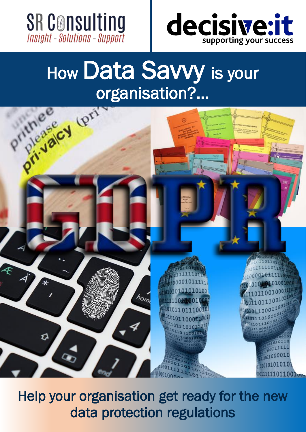



# organisation?...



Help your organisation get ready for the new data protection regulations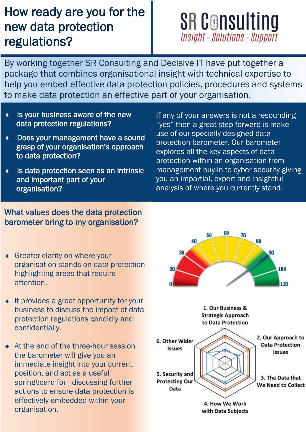## How ready are you for the new data protection regulations?

# **SR Consulting Insight - Solutions - Support**

By working together SR Consulting and Decisive IT have put together a package that combines organisational insight with technical expertise to help you embed effective data protection policies, procedures and systems to make data protection an effective part of your organisation.

- Is your business aware of the new data protection regulations?
- Does your management have a sound grasp of your organisation's approach to data protection?
- Is data protection seen as an intrinsic and important part of your organisation?

If any of your answers is not a resounding "yes" then a great step forward is make use of our specially designed data protection barometer. Our barometer explores all the key aspects of data protection within an organisation from management buy-in to cyber security giving you an impartial, expert and insightful analysis of where you currently stand.

## What values does the data protection barometer bring to my organisation?

- Greater clarity on where your organisation stands on data protection highlighting areas that require attention.
- It provides a great opportunity for your business to discuss the impact of data protection regulations candidly and confidentially.
- At the end of the three-hour session the barometer will give you an immediate insight into your current position, and act as a useful springboard for discussing further actions to ensure data protection is effectively embedded within your organisation.

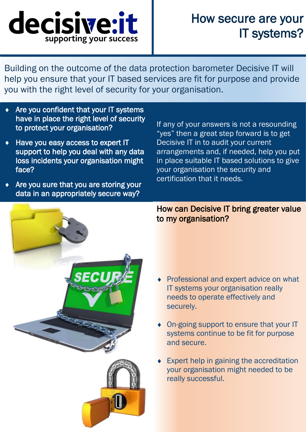

## How secure are your IT systems?

Building on the outcome of the data protection barometer Decisive IT will help you ensure that your IT based services are fit for purpose and provide you with the right level of security for your organisation.

- Are you confident that your IT systems have in place the right level of security to protect your organisation?
- ◆ Have you easy access to expert IT support to help you deal with any data loss incidents your organisation might face?
- Are you sure that you are storing your data in an appropriately secure way?

If any of your answers is not a resounding "yes" then a great step forward is to get Decisive IT in to audit your current arrangements and, if needed, help you put in place suitable IT based solutions to give your organisation the security and certification that it needs.



How can Decisive IT bring greater value to my organisation?

- Professional and expert advice on what IT systems your organisation really needs to operate effectively and securely.
- On-going support to ensure that your IT systems continue to be fit for purpose and secure.
- Expert help in gaining the accreditation your organisation might needed to be really successful.